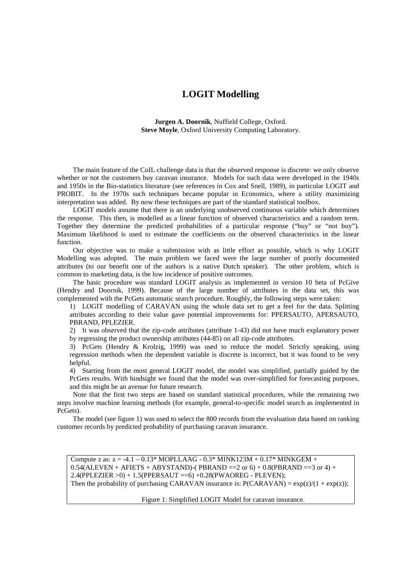## **LOGIT Modelling**

**Jurgen A. Doornik**, Nuffield College, Oxford. **Steve Moyle**, Oxford University Computing Laboratory.

The main feature of the CoIL challenge data is that the observed response is discrete: we only observe whether or not the customers buy caravan insurance. Models for such data were developed in the 1940s and 1950s in the Bio-statistics literature (see references in Cox and Snell, 1989), in particular LOGIT and PROBIT. In the 1970s such techniques became popular in Economics, where a utility maximizing interpretation was added. By now these techniques are part of the standard statistical toolbox.

LOGIT models assume that there is an underlying unobserved continuous variable which determines the response. This then, is modelled as a linear function of observed characteristics and a random term. Together they determine the predicted probabilities of a particular response ("buy" or "not buy"). Maximum likelihood is used to estimate the coefficients on the observed characteristics in the linear function.

Our objective was to make a submission with as little effort as possible, which is why LOGIT Modelling was adopted. The main problem we faced were the large number of poorly documented attributes (to our benefit one of the authors is a native Dutch speaker). The other problem, which is common to marketing data, is the low incidence of positive outcomes.

The basic procedure was standard LOGIT analysis as implemented in version 10 beta of PcGive (Hendry and Doornik, 1999). Because of the large number of attributes in the data set, this was complemented with the PcGets automatic search procedure. Roughly, the following steps were taken:

1) LOGIT modelling of CARAVAN using the whole data set to get a feel for the data. Splitting attributes according to their value gave potential improvements for: PPERSAUTO, APERSAUTO, PBRAND, PPLEZIER.

2) It was observed that the zip-code attributes (attribute 1-43) did not have much explanatory power by regressing the product ownership attributes (44-85) on all zip-code attributes.

3) PcGets (Hendry & Krolzig, 1999) was used to reduce the model. Strictly speaking, using regression methods when the dependent variable is discrete is incorrect, but it was found to be very helpful.

4) Starting from the most general LOGIT model, the model was simplified, partially guided by the PcGets results. With hindsight we found that the model was over-simplified for forecasting purposes, and this might be an avenue for future research.

Note that the first two steps are based on standard statistical procedures, while the remaining two steps involve machine learning methods (for example, general-to-specific model search as implemented in PcGets).

The model (see figure 1) was used to select the 800 records from the evaluation data based on ranking customer records by predicted probability of purchasing caravan insurance.

Compute z as:  $z = -4.1 - 0.13* MOPLLAAG - 0.3* MINK123M + 0.17* MINKGEM +$  $0.54$ (ALEVEN + AFIETS + ABYSTAND)-(PBRAND ==2 or 6) + 0.8(PBRAND ==3 or 4) + 2.4(PPLEZIER >0) + 1.5(PPERSAUT ==6) +0.28(PWAOREG - PLEVEN); Then the probability of purchasing CARAVAN insurance is:  $P(CARAVAN) = exp(z)/(1 + exp(z));$ 

Figure 1: Simplified LOGIT Model for caravan insurance.